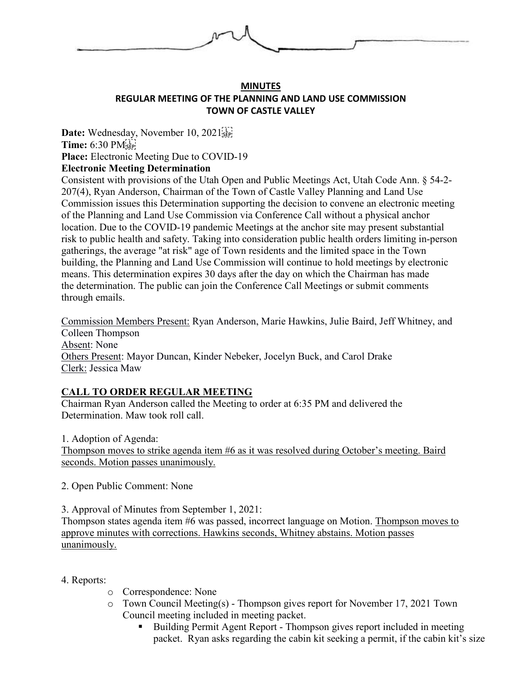

## **MINUTES REGULAR MEETING OF THE PLANNING AND LAND USE COMMISSION TOWN OF CASTLE VALLEY**

Date: Wednesday, November 10, 2021<sup>[17]</sup> **Time:** 6:30 PM **Place:** Electronic Meeting Due to COVID-19 **Electronic Meeting Determination**

Consistent with provisions of the Utah Open and Public Meetings Act, Utah Code Ann. § 54-2- 207(4), Ryan Anderson, Chairman of the Town of Castle Valley Planning and Land Use Commission issues this Determination supporting the decision to convene an electronic meeting of the Planning and Land Use Commission via Conference Call without a physical anchor location. Due to the COVID-19 pandemic Meetings at the anchor site may present substantial risk to public health and safety. Taking into consideration public health orders limiting in-person gatherings, the average "at risk" age of Town residents and the limited space in the Town building, the Planning and Land Use Commission will continue to hold meetings by electronic means. This determination expires 30 days after the day on which the Chairman has made the determination. The public can join the Conference Call Meetings or submit comments through emails.

Commission Members Present: Ryan Anderson, Marie Hawkins, Julie Baird, Jeff Whitney, and Colleen Thompson Absent: None Others Present: Mayor Duncan, Kinder Nebeker, Jocelyn Buck, and Carol Drake Clerk: Jessica Maw

# **CALL TO ORDER REGULAR MEETING**

Chairman Ryan Anderson called the Meeting to order at 6:35 PM and delivered the Determination. Maw took roll call.

1. Adoption of Agenda: Thompson moves to strike agenda item #6 as it was resolved during October's meeting. Baird seconds. Motion passes unanimously.

2. Open Public Comment: None

3. Approval of Minutes from September 1, 2021:

Thompson states agenda item #6 was passed, incorrect language on Motion. Thompson moves to approve minutes with corrections. Hawkins seconds, Whitney abstains. Motion passes unanimously.

#### 4. Reports:

- o Correspondence: None
- o Town Council Meeting(s) Thompson gives report for November 17, 2021 Town Council meeting included in meeting packet.
	- Building Permit Agent Report Thompson gives report included in meeting packet. Ryan asks regarding the cabin kit seeking a permit, if the cabin kit's size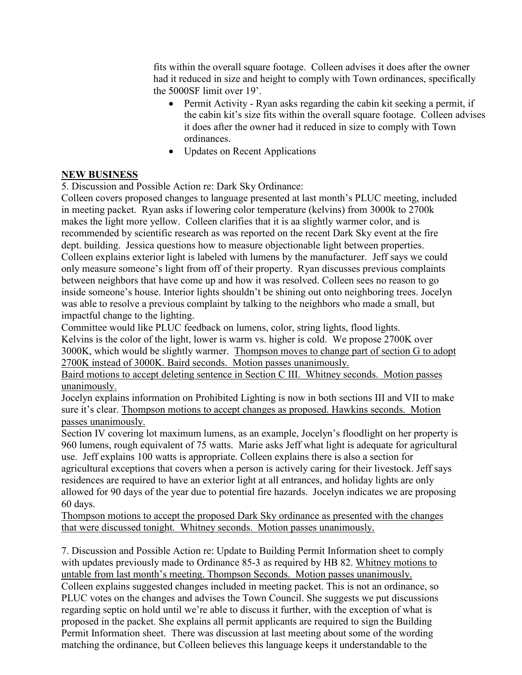fits within the overall square footage. Colleen advises it does after the owner had it reduced in size and height to comply with Town ordinances, specifically the 5000SF limit over 19'.

- Permit Activity Ryan asks regarding the cabin kit seeking a permit, if the cabin kit's size fits within the overall square footage. Colleen advises it does after the owner had it reduced in size to comply with Town ordinances.
- Updates on Recent Applications

# **NEW BUSINESS**

5. Discussion and Possible Action re: Dark Sky Ordinance:

Colleen covers proposed changes to language presented at last month's PLUC meeting, included in meeting packet. Ryan asks if lowering color temperature (kelvins) from 3000k to 2700k makes the light more yellow. Colleen clarifies that it is aa slightly warmer color, and is recommended by scientific research as was reported on the recent Dark Sky event at the fire dept. building. Jessica questions how to measure objectionable light between properties. Colleen explains exterior light is labeled with lumens by the manufacturer. Jeff says we could only measure someone's light from off of their property. Ryan discusses previous complaints between neighbors that have come up and how it was resolved. Colleen sees no reason to go inside someone's house. Interior lights shouldn't be shining out onto neighboring trees. Jocelyn was able to resolve a previous complaint by talking to the neighbors who made a small, but impactful change to the lighting.

Committee would like PLUC feedback on lumens, color, string lights, flood lights.

Kelvins is the color of the light, lower is warm vs. higher is cold. We propose 2700K over 3000K, which would be slightly warmer. Thompson moves to change part of section G to adopt 2700K instead of 3000K. Baird seconds. Motion passes unanimously.

Baird motions to accept deleting sentence in Section C III. Whitney seconds. Motion passes unanimously.

Jocelyn explains information on Prohibited Lighting is now in both sections III and VII to make sure it's clear. Thompson motions to accept changes as proposed. Hawkins seconds. Motion passes unanimously.

Section IV covering lot maximum lumens, as an example, Jocelyn's floodlight on her property is 960 lumens, rough equivalent of 75 watts. Marie asks Jeff what light is adequate for agricultural use. Jeff explains 100 watts is appropriate. Colleen explains there is also a section for agricultural exceptions that covers when a person is actively caring for their livestock. Jeff says residences are required to have an exterior light at all entrances, and holiday lights are only allowed for 90 days of the year due to potential fire hazards. Jocelyn indicates we are proposing 60 days.

Thompson motions to accept the proposed Dark Sky ordinance as presented with the changes that were discussed tonight. Whitney seconds. Motion passes unanimously.

7. Discussion and Possible Action re: Update to Building Permit Information sheet to comply with updates previously made to Ordinance 85-3 as required by HB 82. Whitney motions to untable from last month's meeting. Thompson Seconds. Motion passes unanimously. Colleen explains suggested changes included in meeting packet. This is not an ordinance, so PLUC votes on the changes and advises the Town Council. She suggests we put discussions regarding septic on hold until we're able to discuss it further, with the exception of what is proposed in the packet. She explains all permit applicants are required to sign the Building Permit Information sheet. There was discussion at last meeting about some of the wording matching the ordinance, but Colleen believes this language keeps it understandable to the